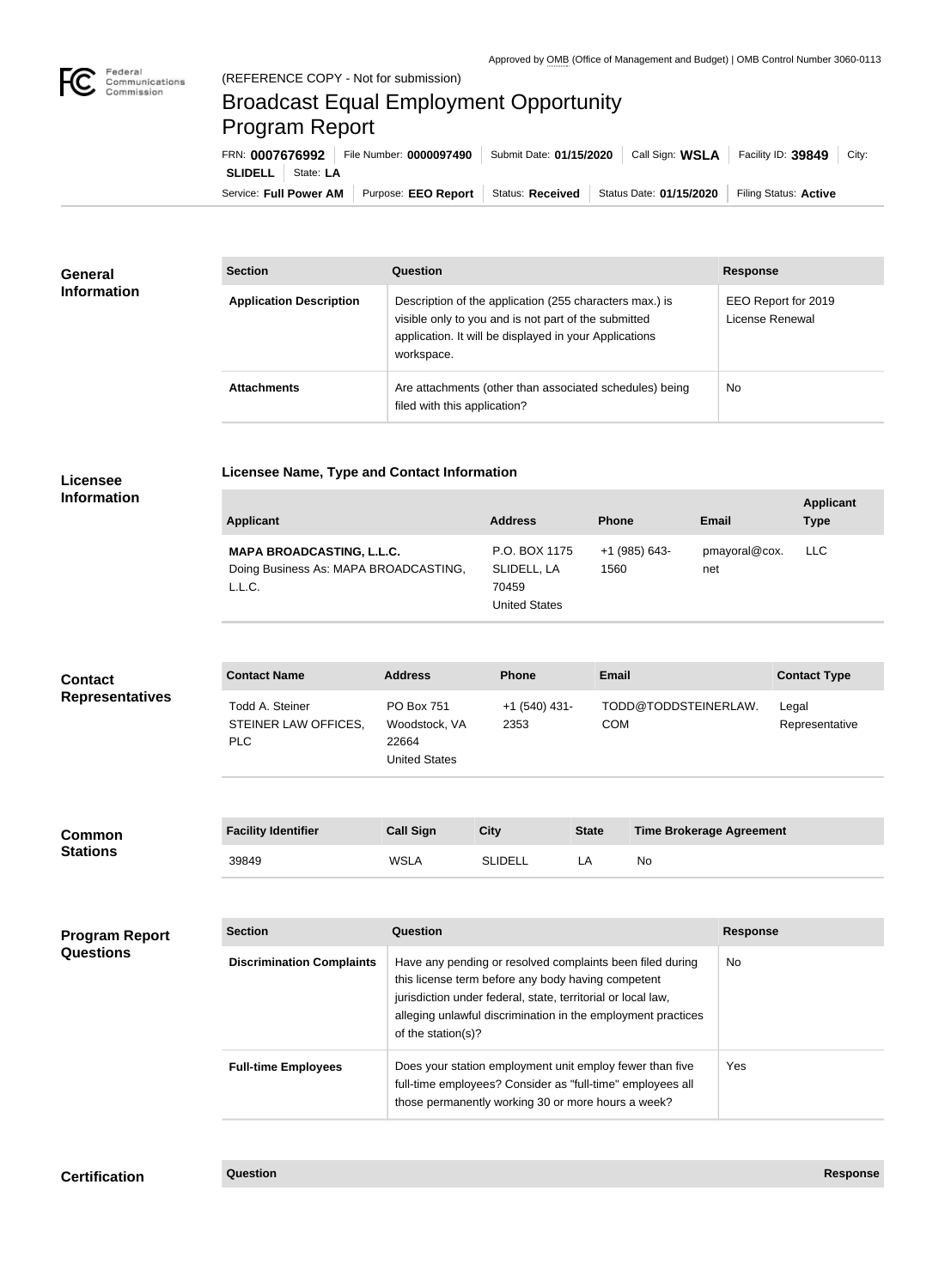

×

## Broadcast Equal Employment Opportunity Program Report

**Licensee Name, Type and Contact Information**

Service: Full Power AM | Purpose: EEO Report | Status: Received | Status Date: 01/15/2020 | Filing Status: Active **SLIDELL** State: **LA** FRN: **0007676992** File Number: **0000097490** Submit Date: **01/15/2020** Call Sign: **WSLA** Facility ID: **39849** City:

| <b>General</b><br><b>Information</b> | <b>Section</b>                 | Question                                                                                                                                                                                | <b>Response</b>                        |
|--------------------------------------|--------------------------------|-----------------------------------------------------------------------------------------------------------------------------------------------------------------------------------------|----------------------------------------|
|                                      | <b>Application Description</b> | Description of the application (255 characters max.) is<br>visible only to you and is not part of the submitted<br>application. It will be displayed in your Applications<br>workspace. | EEO Report for 2019<br>License Renewal |
|                                      | <b>Attachments</b>             | Are attachments (other than associated schedules) being<br>filed with this application?                                                                                                 | No                                     |

## **Licensee Information**

| <b>Applicant</b>                                                                    | <b>Address</b>                                                | <b>Phone</b>          | <b>Email</b>         | <b>Applicant</b><br><b>Type</b> |
|-------------------------------------------------------------------------------------|---------------------------------------------------------------|-----------------------|----------------------|---------------------------------|
| <b>MAPA BROADCASTING, L.L.C.</b><br>Doing Business As: MAPA BROADCASTING,<br>L.L.C. | P.O. BOX 1175<br>SLIDELL, LA<br>70459<br><b>United States</b> | +1 (985) 643-<br>1560 | pmayoral@cox.<br>net | LLC                             |

| <b>Contact</b><br><b>Representatives</b> | <b>Contact Name</b>                             | <b>Address</b>                                               | <b>Phone</b>            | <b>Email</b> |                                 | <b>Contact Type</b>     |
|------------------------------------------|-------------------------------------------------|--------------------------------------------------------------|-------------------------|--------------|---------------------------------|-------------------------|
|                                          | Todd A. Steiner<br>STEINER LAW OFFICES,<br>PLC. | PO Box 751<br>Woodstock, VA<br>22664<br><b>United States</b> | $+1$ (540) 431-<br>2353 | <b>COM</b>   | TODD@TODDSTEINERLAW.            | Legal<br>Representative |
|                                          |                                                 |                                                              |                         |              |                                 |                         |
| <b>Common</b><br><b>Stations</b>         | <b>Facility Identifier</b>                      | <b>Call Sign</b>                                             | <b>City</b>             | <b>State</b> | <b>Time Brokerage Agreement</b> |                         |
|                                          | 39849                                           | <b>WSLA</b>                                                  | <b>SLIDELL</b>          | LA           | <b>No</b>                       |                         |

| <b>Program Report</b><br><b>Questions</b> | <b>Section</b>                   | <b>Question</b>                                                                                                                                                                                                                                                       | <b>Response</b> |
|-------------------------------------------|----------------------------------|-----------------------------------------------------------------------------------------------------------------------------------------------------------------------------------------------------------------------------------------------------------------------|-----------------|
|                                           | <b>Discrimination Complaints</b> | Have any pending or resolved complaints been filed during<br>this license term before any body having competent<br>jurisdiction under federal, state, territorial or local law,<br>alleging unlawful discrimination in the employment practices<br>of the station(s)? | No.             |
|                                           | <b>Full-time Employees</b>       | Does your station employment unit employ fewer than five<br>full-time employees? Consider as "full-time" employees all<br>those permanently working 30 or more hours a week?                                                                                          | Yes             |

**Certification Question Response**